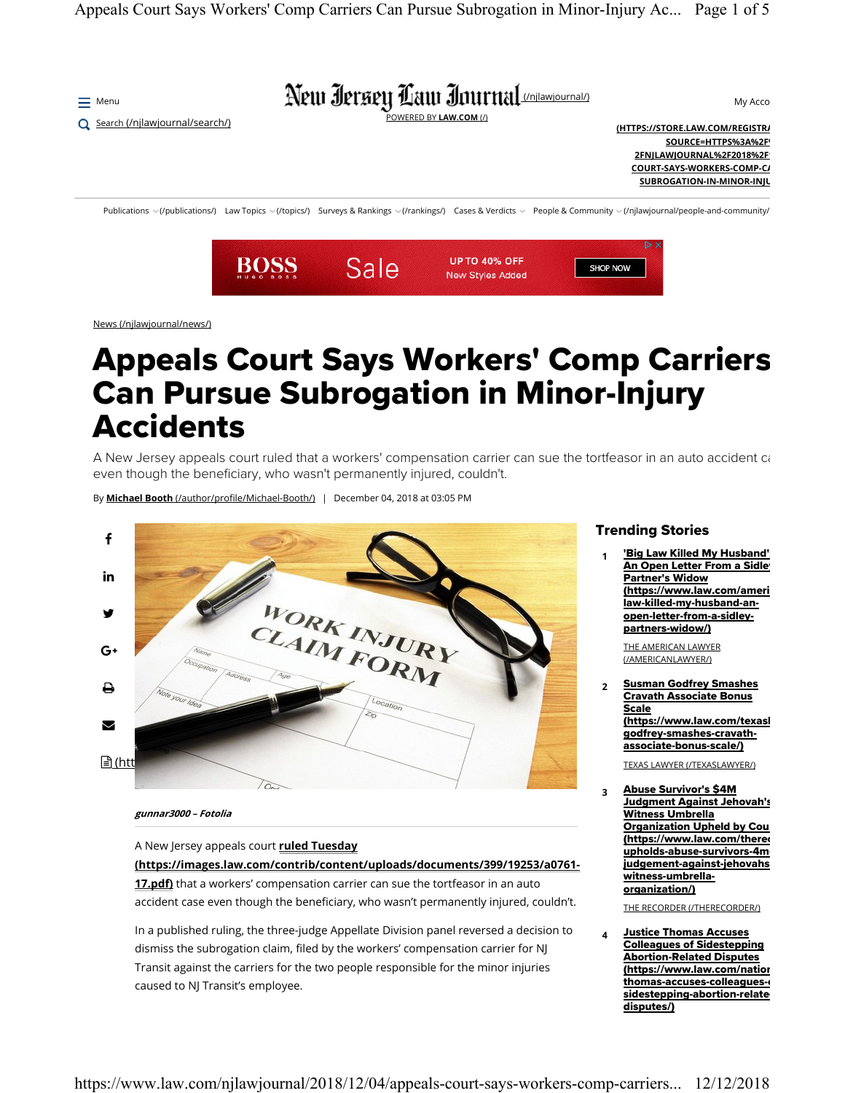

News (/njlawjournal/news/)

## Appeals Court Says Workers' Comp Carriers Can Pursue Subrogation in Minor-Injury Accidents

A New Jersey appeals court ruled that a workers' compensation carrier can sue the tortfeasor in an auto accident ca even though the beneficiary, who wasn't permanently injured, couldn't.

By **Michael Booth** (/author/profile/Michael-Booth/) | December 04, 2018 at 03:05 PM



## **gunnar3000 – Fotolia**

A New Jersey appeals court **ruled Tuesday**

**(https://images.law.com/contrib/content/uploads/documents/399/19253/a0761-**

**17.pdf)** that a workers' compensation carrier can sue the tortfeasor in an auto accident case even though the beneficiary, who wasn't permanently injured, couldn't.

In a published ruling, the three-judge Appellate Division panel reversed a decision to dismiss the subrogation claim, filed by the workers' compensation carrier for NJ Transit against the carriers for the two people responsible for the minor injuries caused to NJ Transit's employee.

## Trending Stories

**1Big Law Killed My Husband'** An Open Letter From a Sidley Partner's Widow (https://www.law.com/ameri law-killed-my-husband-anopen-letter-from-a-sidleypartners-widow/)

THE AMERICAN LAWYER (/AMERICANLAWYER/)

**<sup>2</sup>** Susman Godfrey Smashes Cravath Associate Bonus Scale (https://www.law.com/texasl godfrey-smashes-cravathassociate-bonus-scale/)

TEXAS LAWYER (/TEXASLAWYER/)

**<sup>3</sup>** Abuse Survivor's \$4M Judgment Against Jehovah's Witness Umbrella Organization Upheld by Cou (https://www.law.com/therec upholds-abuse-survivors-4m judgement-against-jehovahs witness-umbrellaorganization/)

THE RECORDER (/THERECORDER/)

**<sup>4</sup>** Justice Thomas Accuses Colleagues of Sidestepping Abortion-Related Disputes (https://www.law.com/nation thomas-accuses-colleaguessidestepping-abortion-relate disputes/)